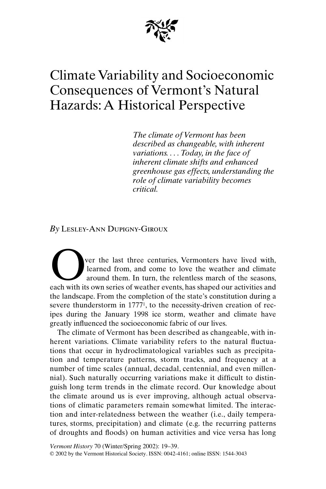

# Climate Variability and Socioeconomic Consequences of Vermont's Natural Hazards: A Historical Perspective

*The climate of Vermont has been described as changeable, with inherent variations. . . . Today, in the face of inherent climate shifts and enhanced greenhouse gas effects, understanding the role of climate variability becomes critical.*

*By* Lesley-Ann Dupigny-Giroux

ver the last three centuries, Vermonters have lived with, learned from, and come to love the weather and climate around them. In turn, the relentless march of the seasons, ver the last three centuries, Vermonters have lived with, learned from, and come to love the weather and climate around them. In turn, the relentless march of the seasons, each with its own series of weather events, has sh the landscape. From the completion of the state's constitution during a severe thunderstorm in 17771, to the necessity-driven creation of recipes during the January 1998 ice storm, weather and climate have greatly influenced the socioeconomic fabric of our lives.

The climate of Vermont has been described as changeable, with inherent variations. Climate variability refers to the natural fluctuations that occur in hydroclimatological variables such as precipitation and temperature patterns, storm tracks, and frequency at a number of time scales (annual, decadal, centennial, and even millennial). Such naturally occurring variations make it difficult to distinguish long term trends in the climate record. Our knowledge about the climate around us is ever improving, although actual observations of climatic parameters remain somewhat limited. The interaction and inter-relatedness between the weather (i.e., daily temperatures, storms, precipitation) and climate (e.g. the recurring patterns of droughts and floods) on human activities and vice versa has long

*Vermont History* 70 (Winter/Spring 2002): 19–39. © 2002 by the Vermont Historical Society. ISSN: 0042-4161; online ISSN: 1544-3043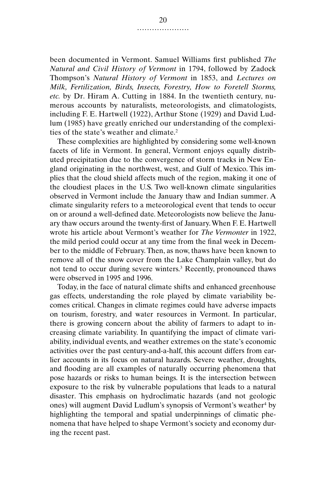been documented in Vermont. Samuel Williams first published *The Natural and Civil History of Vermont* in 1794, followed by Zadock Thompson's *Natural History of Vermont* in 1853, and *Lectures on Milk, Fertilization, Birds, Insects, Forestry, How to Foretell Storms, etc.* by Dr. Hiram A. Cutting in 1884. In the twentieth century, numerous accounts by naturalists, meteorologists, and climatologists, including F. E. Hartwell (1922), Arthur Stone (1929) and David Ludlum (1985) have greatly enriched our understanding of the complexities of the state's weather and climate.2

These complexities are highlighted by considering some well-known facets of life in Vermont. In general, Vermont enjoys equally distributed precipitation due to the convergence of storm tracks in New England originating in the northwest, west, and Gulf of Mexico. This implies that the cloud shield affects much of the region, making it one of the cloudiest places in the U.S. Two well-known climate singularities observed in Vermont include the January thaw and Indian summer. A climate singularity refers to a meteorological event that tends to occur on or around a well-defined date. Meteorologists now believe the January thaw occurs around the twenty-first of January. When F. E. Hartwell wrote his article about Vermont's weather for *The Vermonter* in 1922, the mild period could occur at any time from the final week in December to the middle of February. Then, as now, thaws have been known to remove all of the snow cover from the Lake Champlain valley, but do not tend to occur during severe winters.3 Recently, pronounced thaws were observed in 1995 and 1996.

Today, in the face of natural climate shifts and enhanced greenhouse gas effects, understanding the role played by climate variability becomes critical. Changes in climate regimes could have adverse impacts on tourism, forestry, and water resources in Vermont. In particular, there is growing concern about the ability of farmers to adapt to increasing climate variability. In quantifying the impact of climate variability, individual events, and weather extremes on the state's economic activities over the past century-and-a-half, this account differs from earlier accounts in its focus on natural hazards. Severe weather, droughts, and flooding are all examples of naturally occurring phenomena that pose hazards or risks to human beings. It is the intersection between exposure to the risk by vulnerable populations that leads to a natural disaster. This emphasis on hydroclimatic hazards (and not geologic ones) will augment David Ludlum's synopsis of Vermont's weather<sup>4</sup> by highlighting the temporal and spatial underpinnings of climatic phenomena that have helped to shape Vermont's society and economy during the recent past.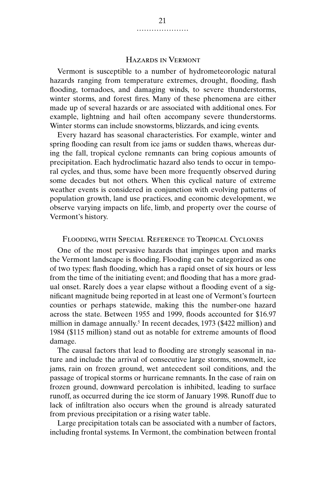### Hazards in Vermont

Vermont is susceptible to a number of hydrometeorologic natural hazards ranging from temperature extremes, drought, flooding, flash flooding, tornadoes, and damaging winds, to severe thunderstorms, winter storms, and forest fires. Many of these phenomena are either made up of several hazards or are associated with additional ones. For example, lightning and hail often accompany severe thunderstorms. Winter storms can include snowstorms, blizzards, and icing events.

Every hazard has seasonal characteristics. For example, winter and spring flooding can result from ice jams or sudden thaws, whereas during the fall, tropical cyclone remnants can bring copious amounts of precipitation. Each hydroclimatic hazard also tends to occur in temporal cycles, and thus, some have been more frequently observed during some decades but not others. When this cyclical nature of extreme weather events is considered in conjunction with evolving patterns of population growth, land use practices, and economic development, we observe varying impacts on life, limb, and property over the course of Vermont's history.

#### Flooding, with Special Reference to Tropical Cyclones

One of the most pervasive hazards that impinges upon and marks the Vermont landscape is flooding. Flooding can be categorized as one of two types: flash flooding, which has a rapid onset of six hours or less from the time of the initiating event; and flooding that has a more gradual onset. Rarely does a year elapse without a flooding event of a significant magnitude being reported in at least one of Vermont's fourteen counties or perhaps statewide, making this the number-one hazard across the state. Between 1955 and 1999, floods accounted for \$16.97 million in damage annually.<sup>5</sup> In recent decades, 1973 (\$422 million) and 1984 (\$115 million) stand out as notable for extreme amounts of flood damage.

The causal factors that lead to flooding are strongly seasonal in nature and include the arrival of consecutive large storms, snowmelt, ice jams, rain on frozen ground, wet antecedent soil conditions, and the passage of tropical storms or hurricane remnants. In the case of rain on frozen ground, downward percolation is inhibited, leading to surface runoff, as occurred during the ice storm of January 1998. Runoff due to lack of infiltration also occurs when the ground is already saturated from previous precipitation or a rising water table.

Large precipitation totals can be associated with a number of factors, including frontal systems. In Vermont, the combination between frontal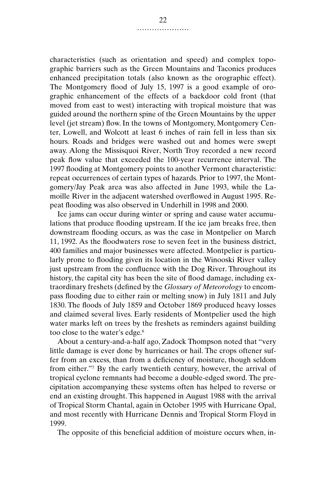characteristics (such as orientation and speed) and complex topographic barriers such as the Green Mountains and Taconics produces enhanced precipitation totals (also known as the orographic effect). The Montgomery flood of July 15, 1997 is a good example of orographic enhancement of the effects of a backdoor cold front (that moved from east to west) interacting with tropical moisture that was guided around the northern spine of the Green Mountains by the upper level (jet stream) flow. In the towns of Montgomery, Montgomery Center, Lowell, and Wolcott at least 6 inches of rain fell in less than six hours. Roads and bridges were washed out and homes were swept away. Along the Missisquoi River, North Troy recorded a new record peak flow value that exceeded the 100-year recurrence interval. The 1997 flooding at Montgomery points to another Vermont characteristic: repeat occurrences of certain types of hazards. Prior to 1997, the Montgomery/Jay Peak area was also affected in June 1993, while the Lamoille River in the adjacent watershed overflowed in August 1995. Repeat flooding was also observed in Underhill in 1998 and 2000.

Ice jams can occur during winter or spring and cause water accumulations that produce flooding upstream. If the ice jam breaks free, then downstream flooding occurs, as was the case in Montpelier on March 11, 1992. As the floodwaters rose to seven feet in the business district, 400 families and major businesses were affected. Montpelier is particularly prone to flooding given its location in the Winooski River valley just upstream from the confluence with the Dog River. Throughout its history, the capital city has been the site of flood damage, including extraordinary freshets (defined by the *Glossary of Meteorology* to encompass flooding due to either rain or melting snow) in July 1811 and July 1830. The floods of July 1859 and October 1869 produced heavy losses and claimed several lives. Early residents of Montpelier used the high water marks left on trees by the freshets as reminders against building too close to the water's edge.6

About a century-and-a-half ago, Zadock Thompson noted that "very little damage is ever done by hurricanes or hail. The crops oftener suffer from an excess, than from a deficiency of moisture, though seldom from either."7 By the early twentieth century, however, the arrival of tropical cyclone remnants had become a double-edged sword. The precipitation accompanying these systems often has helped to reverse or end an existing drought. This happened in August 1988 with the arrival of Tropical Storm Chantal, again in October 1995 with Hurricane Opal, and most recently with Hurricane Dennis and Tropical Storm Floyd in 1999.

The opposite of this beneficial addition of moisture occurs when, in-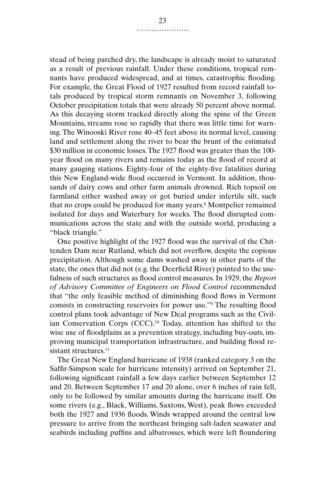stead of being parched dry, the landscape is already moist to saturated as a result of previous rainfall. Under these conditions, tropical remnants have produced widespread, and at times, catastrophic flooding. For example, the Great Flood of 1927 resulted from record rainfall totals produced by tropical storm remnants on November 3, following October precipitation totals that were already 50 percent above normal. As this decaying storm tracked directly along the spine of the Green Mountains, streams rose so rapidly that there was little time for warning. The Winooski River rose 40–45 feet above its normal level, causing land and settlement along the river to bear the brunt of the estimated \$30 million in economic losses. The 1927 flood was greater than the 100 year flood on many rivers and remains today as the flood of record at many gauging stations. Eighty-four of the eighty-five fatalities during this New England-wide flood occurred in Vermont. In addition, thousands of dairy cows and other farm animals drowned. Rich topsoil on farmland either washed away or got buried under infertile silt, such that no crops could be produced for many years.8 Montpelier remained isolated for days and Waterbury for weeks. The flood disrupted communications across the state and with the outside world, producing a "black triangle."

One positive highlight of the 1927 flood was the survival of the Chittenden Dam near Rutland, which did not overflow, despite the copious precipitation. Although some dams washed away in other parts of the state, the ones that did not (e.g. the Deerfield River) pointed to the usefulness of such structures as flood control measures. In 1929, the *Report of Advisory Committee of Engineers on Flood Control* recommended that "the only feasible method of diminishing flood flows in Vermont consists in constructing reservoirs for power use."9 The resulting flood control plans took advantage of New Deal programs such as the Civilian Conservation Corps (CCC).10 Today, attention has shifted to the wise use of floodplains as a prevention strategy, including buy-outs, improving municipal transportation infrastructure, and building flood resistant structures.<sup>11</sup>

The Great New England hurricane of 1938 (ranked category 3 on the Saffir-Simpson scale for hurricane intensity) arrived on September 21, following significant rainfall a few days earlier between September 12 and 20. Between September 17 and 20 alone, over 6 inches of rain fell, only to be followed by similar amounts during the hurricane itself. On some rivers (e.g., Black, Williams, Saxtons, West), peak flows exceeded both the 1927 and 1936 floods. Winds wrapped around the central low pressure to arrive from the northeast bringing salt-laden seawater and seabirds including puffins and albatrosses, which were left floundering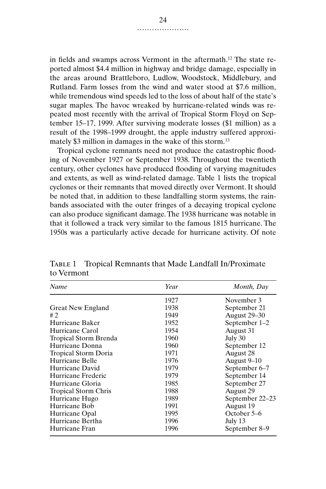in fields and swamps across Vermont in the aftermath.12 The state reported almost \$4.4 million in highway and bridge damage, especially in the areas around Brattleboro, Ludlow, Woodstock, Middlebury, and Rutland. Farm losses from the wind and water stood at \$7.6 million, while tremendous wind speeds led to the loss of about half of the state's sugar maples. The havoc wreaked by hurricane-related winds was repeated most recently with the arrival of Tropical Storm Floyd on September 15–17, 1999. After surviving moderate losses (\$1 million) as a result of the 1998–1999 drought, the apple industry suffered approximately \$3 million in damages in the wake of this storm.<sup>13</sup>

Tropical cyclone remnants need not produce the catastrophic flooding of November 1927 or September 1938. Throughout the twentieth century, other cyclones have produced flooding of varying magnitudes and extents, as well as wind-related damage. Table 1 lists the tropical cyclones or their remnants that moved directly over Vermont. It should be noted that, in addition to these landfalling storm systems, the rainbands associated with the outer fringes of a decaying tropical cyclone can also produce significant damage. The 1938 hurricane was notable in that it followed a track very similar to the famous 1815 hurricane. The 1950s was a particularly active decade for hurricane activity. Of note

| Name                        | Year | Month, Day      |
|-----------------------------|------|-----------------|
|                             | 1927 | November 3      |
| <b>Great New England</b>    | 1938 | September 21    |
| #2                          | 1949 | August 29-30    |
| Hurricane Baker             | 1952 | September 1-2   |
| Hurricane Carol             | 1954 | August 31       |
| Tropical Storm Brenda       | 1960 | July 30         |
| Hurricane Donna             | 1960 | September 12    |
| <b>Tropical Storm Doria</b> | 1971 | August 28       |
| Hurricane Belle             | 1976 | August 9–10     |
| Hurricane David             | 1979 | September 6–7   |
| Hurricane Frederic          | 1979 | September 14    |
| Hurricane Gloria            | 1985 | September 27    |
| <b>Tropical Storm Chris</b> | 1988 | August 29       |
| Hurricane Hugo              | 1989 | September 22-23 |
| Hurricane Bob               | 1991 | August 19       |
| Hurricane Opal              | 1995 | October 5–6     |
| Hurricane Bertha            | 1996 | July 13         |
| Hurricane Fran              | 1996 | September 8–9   |

TABLE 1 Tropical Remnants that Made Landfall In/Proximate to Vermont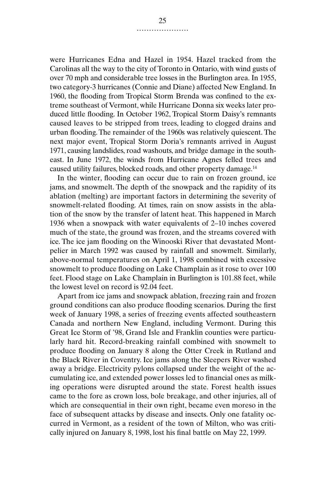were Hurricanes Edna and Hazel in 1954. Hazel tracked from the Carolinas all the way to the city of Toronto in Ontario, with wind gusts of over 70 mph and considerable tree losses in the Burlington area. In 1955, two category-3 hurricanes (Connie and Diane) affected New England. In 1960, the flooding from Tropical Storm Brenda was confined to the extreme southeast of Vermont, while Hurricane Donna six weeks later produced little flooding. In October 1962, Tropical Storm Daisy's remnants caused leaves to be stripped from trees, leading to clogged drains and urban flooding. The remainder of the 1960s was relatively quiescent. The next major event, Tropical Storm Doria's remnants arrived in August 1971, causing landslides, road washouts, and bridge damage in the southeast. In June 1972, the winds from Hurricane Agnes felled trees and caused utility failures, blocked roads, and other property damage.14

In the winter, flooding can occur due to rain on frozen ground, ice jams, and snowmelt. The depth of the snowpack and the rapidity of its ablation (melting) are important factors in determining the severity of snowmelt-related flooding. At times, rain on snow assists in the ablation of the snow by the transfer of latent heat. This happened in March 1936 when a snowpack with water equivalents of 2–10 inches covered much of the state, the ground was frozen, and the streams covered with ice. The ice jam flooding on the Winooski River that devastated Montpelier in March 1992 was caused by rainfall and snowmelt. Similarly, above-normal temperatures on April 1, 1998 combined with excessive snowmelt to produce flooding on Lake Champlain as it rose to over 100 feet. Flood stage on Lake Champlain in Burlington is 101.88 feet, while the lowest level on record is 92.04 feet.

Apart from ice jams and snowpack ablation, freezing rain and frozen ground conditions can also produce flooding scenarios. During the first week of January 1998, a series of freezing events affected southeastern Canada and northern New England, including Vermont. During this Great Ice Storm of '98, Grand Isle and Franklin counties were particularly hard hit. Record-breaking rainfall combined with snowmelt to produce flooding on January 8 along the Otter Creek in Rutland and the Black River in Coventry. Ice jams along the Sleepers River washed away a bridge. Electricity pylons collapsed under the weight of the accumulating ice, and extended power losses led to financial ones as milking operations were disrupted around the state. Forest health issues came to the fore as crown loss, bole breakage, and other injuries, all of which are consequential in their own right, became even moreso in the face of subsequent attacks by disease and insects. Only one fatality occurred in Vermont, as a resident of the town of Milton, who was critically injured on January 8, 1998, lost his final battle on May 22, 1999.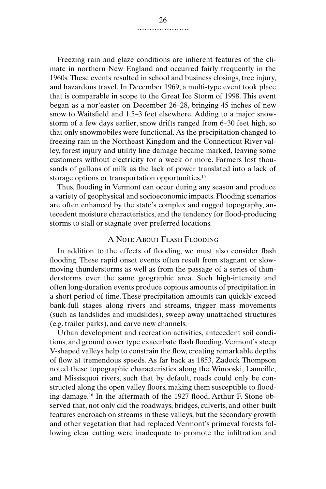Freezing rain and glaze conditions are inherent features of the climate in northern New England and occurred fairly frequently in the 1960s. These events resulted in school and business closings, tree injury, and hazardous travel. In December 1969, a multi-type event took place that is comparable in scope to the Great Ice Storm of 1998. This event began as a nor'easter on December 26–28, bringing 45 inches of new snow to Waitsfield and 1.5–3 feet elsewhere. Adding to a major snowstorm of a few days earlier, snow drifts ranged from 6–30 feet high, so that only snowmobiles were functional. As the precipitation changed to freezing rain in the Northeast Kingdom and the Connecticut River valley, forest injury and utility line damage became marked, leaving some customers without electricity for a week or more. Farmers lost thousands of gallons of milk as the lack of power translated into a lack of storage options or transportation opportunities.<sup>15</sup>

Thus, flooding in Vermont can occur during any season and produce a variety of geophysical and socioeconomic impacts. Flooding scenarios are often enhanced by the state's complex and rugged topography, antecedent moisture characteristics, and the tendency for flood-producing storms to stall or stagnate over preferred locations.

## A Note About Flash Flooding

In addition to the effects of flooding, we must also consider flash flooding. These rapid onset events often result from stagnant or slowmoving thunderstorms as well as from the passage of a series of thunderstorms over the same geographic area. Such high-intensity and often long-duration events produce copious amounts of precipitation in a short period of time. These precipitation amounts can quickly exceed bank-full stages along rivers and streams, trigger mass movements (such as landslides and mudslides), sweep away unattached structures (e.g. trailer parks), and carve new channels.

Urban development and recreation activities, antecedent soil conditions, and ground cover type exacerbate flash flooding. Vermont's steep V-shaped valleys help to constrain the flow, creating remarkable depths of flow at tremendous speeds. As far back as 1853, Zadock Thompson noted these topographic characteristics along the Winooski, Lamoille, and Missisquoi rivers, such that by default, roads could only be constructed along the open valley floors, making them susceptible to flooding damage.16 In the aftermath of the 1927 flood, Arthur F. Stone observed that, not only did the roadways, bridges, culverts, and other built features encroach on streams in these valleys, but the secondary growth and other vegetation that had replaced Vermont's primeval forests following clear cutting were inadequate to promote the infiltration and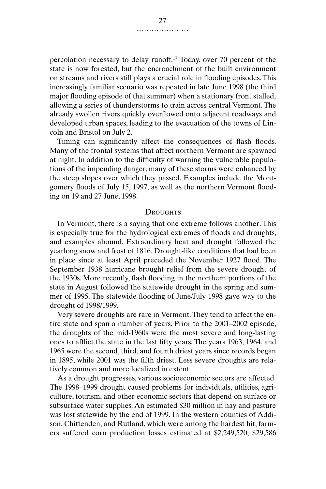percolation necessary to delay runoff.17 Today, over 70 percent of the state is now forested, but the encroachment of the built environment on streams and rivers still plays a crucial role in flooding episodes. This increasingly familiar scenario was repeated in late June 1998 (the third major flooding episode of that summer) when a stationary front stalled, allowing a series of thunderstorms to train across central Vermont. The already swollen rivers quickly overflowed onto adjacent roadways and developed urban spaces, leading to the evacuation of the towns of Lincoln and Bristol on July 2.

Timing can significantly affect the consequences of flash floods. Many of the frontal systems that affect northern Vermont are spawned at night. In addition to the difficulty of warning the vulnerable populations of the impending danger, many of these storms were enhanced by the steep slopes over which they passed. Examples include the Montgomery floods of July 15, 1997, as well as the northern Vermont flooding on 19 and 27 June, 1998.

#### **DROUGHTS**

In Vermont, there is a saying that one extreme follows another. This is especially true for the hydrological extremes of floods and droughts, and examples abound. Extraordinary heat and drought followed the yearlong snow and frost of 1816. Drought-like conditions that had been in place since at least April preceded the November 1927 flood. The September 1938 hurricane brought relief from the severe drought of the 1930s. More recently, flash flooding in the northern portions of the state in August followed the statewide drought in the spring and summer of 1995. The statewide flooding of June/July 1998 gave way to the drought of 1998/1999.

Very severe droughts are rare in Vermont. They tend to affect the entire state and span a number of years. Prior to the 2001–2002 episode, the droughts of the mid-1960s were the most severe and long-lasting ones to afflict the state in the last fifty years. The years 1963, 1964, and 1965 were the second, third, and fourth driest years since records began in 1895, while 2001 was the fifth driest. Less severe droughts are relatively common and more localized in extent.

As a drought progresses, various socioeconomic sectors are affected. The 1998–1999 drought caused problems for individuals, utilities, agriculture, tourism, and other economic sectors that depend on surface or subsurface water supplies. An estimated \$30 million in hay and pasture was lost statewide by the end of 1999. In the western counties of Addison, Chittenden, and Rutland, which were among the hardest hit, farmers suffered corn production losses estimated at \$2,249,520, \$29,586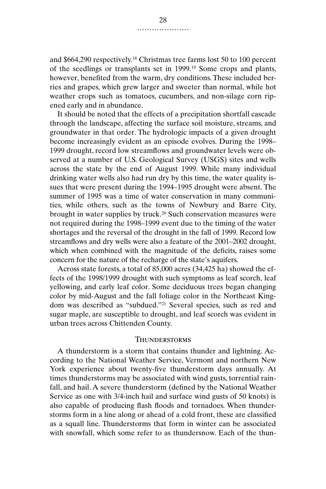and \$664,290 respectively.18 Christmas tree farms lost 50 to 100 percent of the seedlings or transplants set in 1999.19 Some crops and plants, however, benefited from the warm, dry conditions. These included berries and grapes, which grew larger and sweeter than normal, while hot weather crops such as tomatoes, cucumbers, and non-silage corn ripened early and in abundance.

It should be noted that the effects of a precipitation shortfall cascade through the landscape, affecting the surface soil moisture, streams, and groundwater in that order. The hydrologic impacts of a given drought become increasingly evident as an episode evolves. During the 1998– 1999 drought, record low streamflows and groundwater levels were observed at a number of U.S. Geological Survey (USGS) sites and wells across the state by the end of August 1999. While many individual drinking water wells also had run dry by this time, the water quality issues that were present during the 1994–1995 drought were absent. The summer of 1995 was a time of water conservation in many communities, while others, such as the towns of Newbury and Barre City, brought in water supplies by truck.<sup>20</sup> Such conservation measures were not required during the 1998–1999 event due to the timing of the water shortages and the reversal of the drought in the fall of 1999. Record low streamflows and dry wells were also a feature of the 2001–2002 drought, which when combined with the magnitude of the deficits, raises some concern for the nature of the recharge of the state's aquifers.

Across state forests, a total of 85,000 acres (34,425 ha) showed the effects of the 1998/1999 drought with such symptoms as leaf scorch, leaf yellowing, and early leaf color. Some deciduous trees began changing color by mid-August and the fall foliage color in the Northeast Kingdom was described as "subdued."21 Several species, such as red and sugar maple, are susceptible to drought, and leaf scorch was evident in urban trees across Chittenden County.

#### **THUNDERSTORMS**

A thunderstorm is a storm that contains thunder and lightning. According to the National Weather Service, Vermont and northern New York experience about twenty-five thunderstorm days annually. At times thunderstorms may be associated with wind gusts, torrential rainfall, and hail. A severe thunderstorm (defined by the National Weather Service as one with 3/4-inch hail and surface wind gusts of 50 knots) is also capable of producing flash floods and tornadoes. When thunderstorms form in a line along or ahead of a cold front, these are classified as a squall line. Thunderstorms that form in winter can be associated with snowfall, which some refer to as thundersnow. Each of the thun-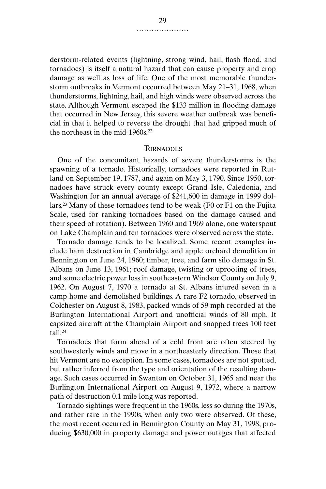derstorm-related events (lightning, strong wind, hail, flash flood, and tornadoes) is itself a natural hazard that can cause property and crop damage as well as loss of life. One of the most memorable thunderstorm outbreaks in Vermont occurred between May 21–31, 1968, when thunderstorms, lightning, hail, and high winds were observed across the state. Although Vermont escaped the \$133 million in flooding damage that occurred in New Jersey, this severe weather outbreak was beneficial in that it helped to reverse the drought that had gripped much of the northeast in the mid-1960s $22$ 

#### **TORNADOES**

One of the concomitant hazards of severe thunderstorms is the spawning of a tornado. Historically, tornadoes were reported in Rutland on September 19, 1787, and again on May 3, 1790. Since 1950, tornadoes have struck every county except Grand Isle, Caledonia, and Washington for an annual average of \$241,600 in damage in 1999 dollars.23 Many of these tornadoes tend to be weak (F0 or F1 on the Fujita Scale, used for ranking tornadoes based on the damage caused and their speed of rotation). Between 1960 and 1969 alone, one waterspout on Lake Champlain and ten tornadoes were observed across the state.

Tornado damage tends to be localized. Some recent examples include barn destruction in Cambridge and apple orchard demolition in Bennington on June 24, 1960; timber, tree, and farm silo damage in St. Albans on June 13, 1961; roof damage, twisting or uprooting of trees, and some electric power loss in southeastern Windsor County on July 9, 1962. On August 7, 1970 a tornado at St. Albans injured seven in a camp home and demolished buildings. A rare F2 tornado, observed in Colchester on August 8, 1983, packed winds of 59 mph recorded at the Burlington International Airport and unofficial winds of 80 mph. It capsized aircraft at the Champlain Airport and snapped trees 100 feet tall $24$ 

Tornadoes that form ahead of a cold front are often steered by southwesterly winds and move in a northeasterly direction. Those that hit Vermont are no exception. In some cases, tornadoes are not spotted, but rather inferred from the type and orientation of the resulting damage. Such cases occurred in Swanton on October 31, 1965 and near the Burlington International Airport on August 9, 1972, where a narrow path of destruction 0.1 mile long was reported.

Tornado sightings were frequent in the 1960s, less so during the 1970s, and rather rare in the 1990s, when only two were observed. Of these, the most recent occurred in Bennington County on May 31, 1998, producing \$630,000 in property damage and power outages that affected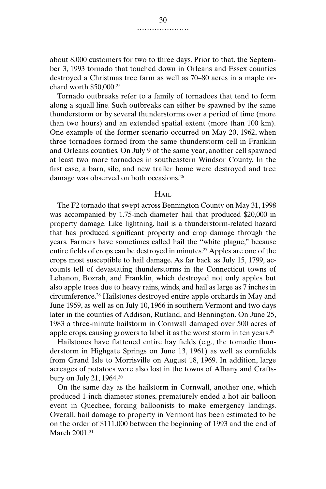about 8,000 customers for two to three days. Prior to that, the September 3, 1993 tornado that touched down in Orleans and Essex counties destroyed a Christmas tree farm as well as 70–80 acres in a maple orchard worth \$50,000.25

Tornado outbreaks refer to a family of tornadoes that tend to form along a squall line. Such outbreaks can either be spawned by the same thunderstorm or by several thunderstorms over a period of time (more than two hours) and an extended spatial extent (more than 100 km). One example of the former scenario occurred on May 20, 1962, when three tornadoes formed from the same thunderstorm cell in Franklin and Orleans counties. On July 9 of the same year, another cell spawned at least two more tornadoes in southeastern Windsor County. In the first case, a barn, silo, and new trailer home were destroyed and tree damage was observed on both occasions.26

#### $H$ AIL

The F2 tornado that swept across Bennington County on May 31, 1998 was accompanied by 1.75-inch diameter hail that produced \$20,000 in property damage. Like lightning, hail is a thunderstorm-related hazard that has produced significant property and crop damage through the years. Farmers have sometimes called hail the "white plague," because entire fields of crops can be destroyed in minutes.<sup>27</sup> Apples are one of the crops most susceptible to hail damage. As far back as July 15, 1799, accounts tell of devastating thunderstorms in the Connecticut towns of Lebanon, Bozrah, and Franklin, which destroyed not only apples but also apple trees due to heavy rains, winds, and hail as large as 7 inches in circumference.28 Hailstones destroyed entire apple orchards in May and June 1959, as well as on July 10, 1966 in southern Vermont and two days later in the counties of Addison, Rutland, and Bennington. On June 25, 1983 a three-minute hailstorm in Cornwall damaged over 500 acres of apple crops, causing growers to label it as the worst storm in ten years.29

Hailstones have flattened entire hay fields (e.g., the tornadic thunderstorm in Highgate Springs on June 13, 1961) as well as cornfields from Grand Isle to Morrisville on August 18, 1969. In addition, large acreages of potatoes were also lost in the towns of Albany and Craftsbury on July 21, 1964.30

On the same day as the hailstorm in Cornwall, another one, which produced 1-inch diameter stones, prematurely ended a hot air balloon event in Quechee, forcing balloonists to make emergency landings. Overall, hail damage to property in Vermont has been estimated to be on the order of \$111,000 between the beginning of 1993 and the end of March 2001.31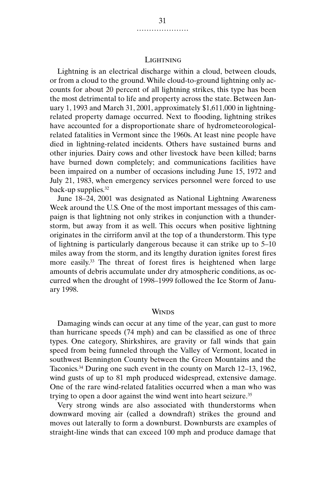#### LIGHTNING

Lightning is an electrical discharge within a cloud, between clouds, or from a cloud to the ground. While cloud-to-ground lightning only accounts for about 20 percent of all lightning strikes, this type has been the most detrimental to life and property across the state. Between January 1, 1993 and March 31, 2001, approximately \$1,611,000 in lightningrelated property damage occurred. Next to flooding, lightning strikes have accounted for a disproportionate share of hydrometeorologicalrelated fatalities in Vermont since the 1960s. At least nine people have died in lightning-related incidents. Others have sustained burns and other injuries. Dairy cows and other livestock have been killed; barns have burned down completely; and communications facilities have been impaired on a number of occasions including June 15, 1972 and July 21, 1983, when emergency services personnel were forced to use back-up supplies.<sup>32</sup>

June 18–24, 2001 was designated as National Lightning Awareness Week around the U.S. One of the most important messages of this campaign is that lightning not only strikes in conjunction with a thunderstorm, but away from it as well. This occurs when positive lightning originates in the cirriform anvil at the top of a thunderstorm. This type of lightning is particularly dangerous because it can strike up to 5–10 miles away from the storm, and its lengthy duration ignites forest fires more easily.33 The threat of forest fires is heightened when large amounts of debris accumulate under dry atmospheric conditions, as occurred when the drought of 1998–1999 followed the Ice Storm of January 1998.

#### **WINDS**

Damaging winds can occur at any time of the year, can gust to more than hurricane speeds (74 mph) and can be classified as one of three types. One category, Shirkshires, are gravity or fall winds that gain speed from being funneled through the Valley of Vermont, located in southwest Bennington County between the Green Mountains and the Taconics.34 During one such event in the county on March 12–13, 1962, wind gusts of up to 81 mph produced widespread, extensive damage. One of the rare wind-related fatalities occurred when a man who was trying to open a door against the wind went into heart seizure.35

Very strong winds are also associated with thunderstorms when downward moving air (called a downdraft) strikes the ground and moves out laterally to form a downburst. Downbursts are examples of straight-line winds that can exceed 100 mph and produce damage that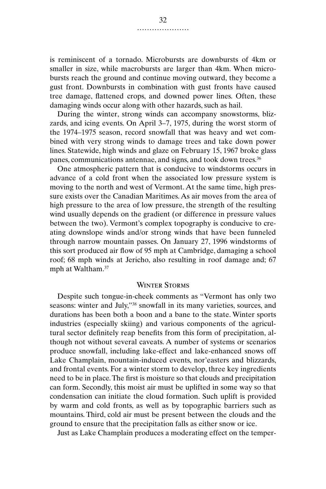is reminiscent of a tornado. Microbursts are downbursts of 4km or smaller in size, while macrobursts are larger than 4km. When microbursts reach the ground and continue moving outward, they become a gust front. Downbursts in combination with gust fronts have caused tree damage, flattened crops, and downed power lines. Often, these damaging winds occur along with other hazards, such as hail.

During the winter, strong winds can accompany snowstorms, blizzards, and icing events. On April 3–7, 1975, during the worst storm of the 1974–1975 season, record snowfall that was heavy and wet combined with very strong winds to damage trees and take down power lines. Statewide, high winds and glaze on February 15, 1967 broke glass panes, communications antennae, and signs, and took down trees.<sup>36</sup>

One atmospheric pattern that is conducive to windstorms occurs in advance of a cold front when the associated low pressure system is moving to the north and west of Vermont. At the same time, high pressure exists over the Canadian Maritimes. As air moves from the area of high pressure to the area of low pressure, the strength of the resulting wind usually depends on the gradient (or difference in pressure values between the two). Vermont's complex topography is conducive to creating downslope winds and/or strong winds that have been funneled through narrow mountain passes. On January 27, 1996 windstorms of this sort produced air flow of 95 mph at Cambridge, damaging a school roof; 68 mph winds at Jericho, also resulting in roof damage and; 67 mph at Waltham.<sup>37</sup>

#### Winter Storms

Despite such tongue-in-cheek comments as "Vermont has only two seasons: winter and July,"38 snowfall in its many varieties, sources, and durations has been both a boon and a bane to the state. Winter sports industries (especially skiing) and various components of the agricultural sector definitely reap benefits from this form of precipitation, although not without several caveats. A number of systems or scenarios produce snowfall, including lake-effect and lake-enhanced snows off Lake Champlain, mountain-induced events, nor'easters and blizzards, and frontal events. For a winter storm to develop, three key ingredients need to be in place. The first is moisture so that clouds and precipitation can form. Secondly, this moist air must be uplifted in some way so that condensation can initiate the cloud formation. Such uplift is provided by warm and cold fronts, as well as by topographic barriers such as mountains. Third, cold air must be present between the clouds and the ground to ensure that the precipitation falls as either snow or ice.

Just as Lake Champlain produces a moderating effect on the temper-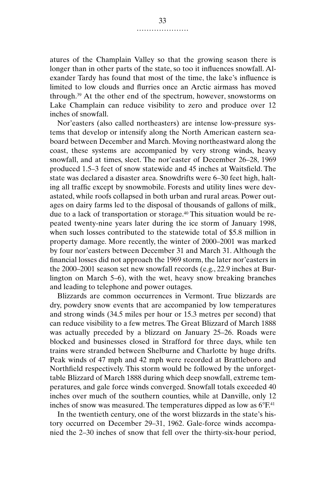atures of the Champlain Valley so that the growing season there is longer than in other parts of the state, so too it influences snowfall. Alexander Tardy has found that most of the time, the lake's influence is limited to low clouds and flurries once an Arctic airmass has moved through.39 At the other end of the spectrum, however, snowstorms on Lake Champlain can reduce visibility to zero and produce over 12 inches of snowfall.

Nor'easters (also called northeasters) are intense low-pressure systems that develop or intensify along the North American eastern seaboard between December and March. Moving northeastward along the coast, these systems are accompanied by very strong winds, heavy snowfall, and at times, sleet. The nor'easter of December 26–28, 1969 produced 1.5–3 feet of snow statewide and 45 inches at Waitsfield. The state was declared a disaster area. Snowdrifts were 6–30 feet high, halting all traffic except by snowmobile. Forests and utility lines were devastated, while roofs collapsed in both urban and rural areas. Power outages on dairy farms led to the disposal of thousands of gallons of milk, due to a lack of transportation or storage.40 This situation would be repeated twenty-nine years later during the ice storm of January 1998, when such losses contributed to the statewide total of \$5.8 million in property damage. More recently, the winter of 2000–2001 was marked by four nor'easters between December 31 and March 31. Although the financial losses did not approach the 1969 storm, the later nor'easters in the 2000–2001 season set new snowfall records (e.g., 22.9 inches at Burlington on March 5–6), with the wet, heavy snow breaking branches and leading to telephone and power outages.

Blizzards are common occurrences in Vermont. True blizzards are dry, powdery snow events that are accompanied by low temperatures and strong winds (34.5 miles per hour or 15.3 metres per second) that can reduce visibility to a few metres. The Great Blizzard of March 1888 was actually preceded by a blizzard on January 25–26. Roads were blocked and businesses closed in Strafford for three days, while ten trains were stranded between Shelburne and Charlotte by huge drifts. Peak winds of 47 mph and 42 mph were recorded at Brattleboro and Northfield respectively. This storm would be followed by the unforgettable Blizzard of March 1888 during which deep snowfall, extreme temperatures, and gale force winds converged. Snowfall totals exceeded 40 inches over much of the southern counties, while at Danville, only 12 inches of snow was measured. The temperatures dipped as low as  $6^{\circ}F^{41}$ 

In the twentieth century, one of the worst blizzards in the state's history occurred on December 29–31, 1962. Gale-force winds accompanied the 2–30 inches of snow that fell over the thirty-six-hour period,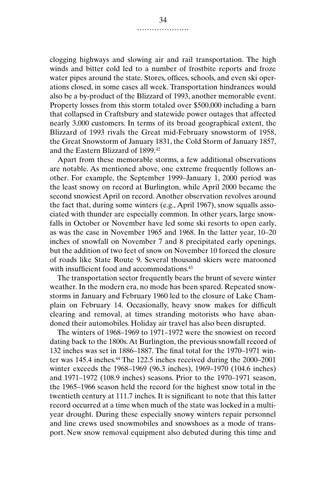clogging highways and slowing air and rail transportation. The high winds and bitter cold led to a number of frostbite reports and froze water pipes around the state. Stores, offices, schools, and even ski operations closed, in some cases all week. Transportation hindrances would also be a by-product of the Blizzard of 1993, another memorable event. Property losses from this storm totaled over \$500,000 including a barn that collapsed in Craftsbury and statewide power outages that affected nearly 3,000 customers. In terms of its broad geographical extent, the Blizzard of 1993 rivals the Great mid-February snowstorm of 1958, the Great Snowstorm of January 1831, the Cold Storm of January 1857, and the Eastern Blizzard of 1899.42

Apart from these memorable storms, a few additional observations are notable. As mentioned above, one extreme frequently follows another. For example, the September 1999–January 1, 2000 period was the least snowy on record at Burlington, while April 2000 became the second snowiest April on record. Another observation revolves around the fact that, during some winters (e.g., April 1967), snow squalls associated with thunder are especially common. In other years, large snowfalls in October or November have led some ski resorts to open early, as was the case in November 1965 and 1968. In the latter year, 10–20 inches of snowfall on November 7 and 8 precipitated early openings, but the addition of two feet of snow on November 10 forced the closure of roads like State Route 9. Several thousand skiers were marooned with insufficient food and accommodations.<sup>43</sup>

The transportation sector frequently bears the brunt of severe winter weather. In the modern era, no mode has been spared. Repeated snowstorms in January and February 1960 led to the closure of Lake Champlain on February 14. Occasionally, heavy snow makes for difficult clearing and removal, at times stranding motorists who have abandoned their automobiles. Holiday air travel has also been disrupted.

The winters of 1968–1969 to 1971–1972 were the snowiest on record dating back to the 1800s. At Burlington, the previous snowfall record of 132 inches was set in 1886–1887. The final total for the 1970–1971 winter was 145.4 inches.<sup>44</sup> The 122.5 inches received during the 2000–2001 winter exceeds the 1968–1969 (96.3 inches), 1969–1970 (104.6 inches) and 1971–1972 (108.9 inches) seasons. Prior to the 1970–1971 season, the 1965–1966 season held the record for the highest snow total in the twentieth century at 111.7 inches. It is significant to note that this latter record occurred at a time when much of the state was locked in a multiyear drought. During these especially snowy winters repair personnel and line crews used snowmobiles and snowshoes as a mode of transport. New snow removal equipment also debuted during this time and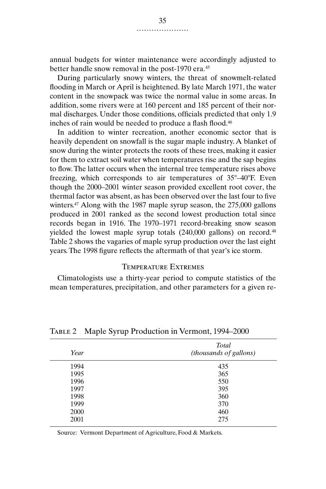annual budgets for winter maintenance were accordingly adjusted to better handle snow removal in the post-1970 era.<sup>45</sup>

During particularly snowy winters, the threat of snowmelt-related flooding in March or April is heightened. By late March 1971, the water content in the snowpack was twice the normal value in some areas. In addition, some rivers were at 160 percent and 185 percent of their normal discharges. Under those conditions, officials predicted that only 1.9 inches of rain would be needed to produce a flash flood.46

In addition to winter recreation, another economic sector that is heavily dependent on snowfall is the sugar maple industry. A blanket of snow during the winter protects the roots of these trees, making it easier for them to extract soil water when temperatures rise and the sap begins to flow. The latter occurs when the internal tree temperature rises above freezing, which corresponds to air temperatures of 35°–40°F. Even though the 2000–2001 winter season provided excellent root cover, the thermal factor was absent, as has been observed over the last four to five winters.<sup>47</sup> Along with the 1987 maple syrup season, the 275,000 gallons produced in 2001 ranked as the second lowest production total since records began in 1916. The 1970–1971 record-breaking snow season yielded the lowest maple syrup totals (240,000 gallons) on record.<sup>48</sup> Table 2 shows the vagaries of maple syrup production over the last eight years. The 1998 figure reflects the aftermath of that year's ice storm.

### Temperature Extremes

Climatologists use a thirty-year period to compute statistics of the mean temperatures, precipitation, and other parameters for a given re-

| Year | Total<br>(thousands of gallons) |  |
|------|---------------------------------|--|
| 1994 | 435                             |  |
| 1995 | 365                             |  |
| 1996 | 550                             |  |
| 1997 | 395                             |  |
| 1998 | 360                             |  |
| 1999 | 370                             |  |
| 2000 | 460                             |  |
| 2001 | 275                             |  |

Table 2 Maple Syrup Production in Vermont, 1994–2000

Source: Vermont Department of Agriculture, Food & Markets.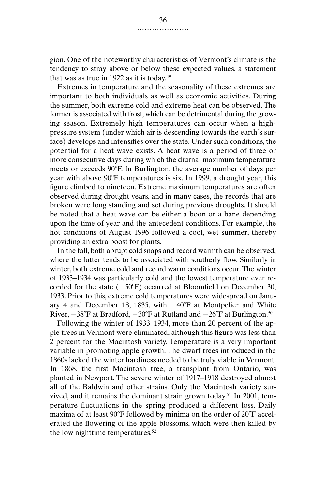gion. One of the noteworthy characteristics of Vermont's climate is the tendency to stray above or below these expected values, a statement that was as true in 1922 as it is today.<sup>49</sup>

Extremes in temperature and the seasonality of these extremes are important to both individuals as well as economic activities. During the summer, both extreme cold and extreme heat can be observed. The former is associated with frost, which can be detrimental during the growing season. Extremely high temperatures can occur when a highpressure system (under which air is descending towards the earth's surface) develops and intensifies over the state. Under such conditions, the potential for a heat wave exists. A heat wave is a period of three or more consecutive days during which the diurnal maximum temperature meets or exceeds 90°F. In Burlington, the average number of days per year with above 90°F temperatures is six. In 1999, a drought year, this figure climbed to nineteen. Extreme maximum temperatures are often observed during drought years, and in many cases, the records that are broken were long standing and set during previous droughts. It should be noted that a heat wave can be either a boon or a bane depending upon the time of year and the antecedent conditions. For example, the hot conditions of August 1996 followed a cool, wet summer, thereby providing an extra boost for plants.

In the fall, both abrupt cold snaps and record warmth can be observed, where the latter tends to be associated with southerly flow. Similarly in winter, both extreme cold and record warm conditions occur. The winter of 1933–1934 was particularly cold and the lowest temperature ever recorded for the state  $(-50^{\circ}F)$  occurred at Bloomfield on December 30, 1933. Prior to this, extreme cold temperatures were widespread on January 4 and December 18, 1835, with  $-40^{\circ}$ F at Montpelier and White River,  $-38^{\circ}\text{F}$  at Bradford,  $-30^{\circ}\text{F}$  at Rutland and  $-26^{\circ}\text{F}$  at Burlington.<sup>50</sup>

Following the winter of 1933–1934, more than 20 percent of the apple trees in Vermont were eliminated, although this figure was less than 2 percent for the Macintosh variety. Temperature is a very important variable in promoting apple growth. The dwarf trees introduced in the 1860s lacked the winter hardiness needed to be truly viable in Vermont. In 1868, the first Macintosh tree, a transplant from Ontario, was planted in Newport. The severe winter of 1917–1918 destroyed almost all of the Baldwin and other strains. Only the Macintosh variety survived, and it remains the dominant strain grown today.<sup>51</sup> In 2001, temperature fluctuations in the spring produced a different loss. Daily maxima of at least 90°F followed by minima on the order of 20°F accelerated the flowering of the apple blossoms, which were then killed by the low nighttime temperatures.52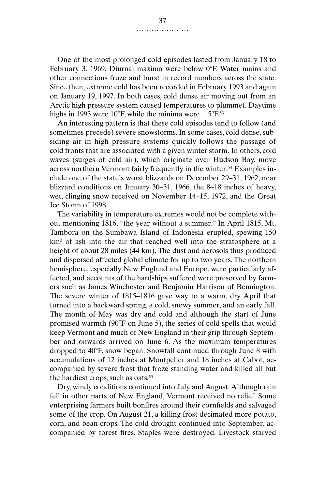One of the most prolonged cold episodes lasted from January 18 to February 3, 1969. Diurnal maxima were below 0°F. Water mains and other connections froze and burst in record numbers across the state. Since then, extreme cold has been recorded in February 1993 and again on January 19, 1997. In both cases, cold dense air moving out from an Arctic high pressure system caused temperatures to plummet. Daytime highs in 1993 were 10°F, while the minima were  $-5^{\circ}$ F.53

An interesting pattern is that these cold episodes tend to follow (and sometimes precede) severe snowstorms. In some cases, cold dense, subsiding air in high pressure systems quickly follows the passage of cold fronts that are associated with a given winter storm. In others, cold waves (surges of cold air), which originate over Hudson Bay, move across northern Vermont fairly frequently in the winter.<sup>54</sup> Examples include one of the state's worst blizzards on December 29–31, 1962, near blizzard conditions on January 30–31, 1966, the 8–18 inches of heavy, wet, clinging snow received on November 14–15, 1972, and the Great Ice Storm of 1998.

The variability in temperature extremes would not be complete without mentioning 1816, "the year without a summer." In April 1815, Mt. Tambora on the Sumbawa Island of Indonesia erupted, spewing 150 km<sup>3</sup> of ash into the air that reached well into the stratosphere at a height of about 28 miles (44 km). The dust and aerosols thus produced and dispersed affected global climate for up to two years. The northern hemisphere, especially New England and Europe, were particularly affected, and accounts of the hardships suffered were preserved by farmers such as James Winchester and Benjamin Harrison of Bennington. The severe winter of 1815–1816 gave way to a warm, dry April that turned into a backward spring, a cold, snowy summer, and an early fall. The month of May was dry and cold and although the start of June promised warmth (90°F on June 5), the series of cold spells that would keep Vermont and much of New England in their grip through September and onwards arrived on June 6. As the maximum temperatures dropped to 40°F, snow began. Snowfall continued through June 8 with accumulations of 12 inches at Montpelier and 18 inches at Cabot, accompanied by severe frost that froze standing water and killed all but the hardiest crops, such as oats.<sup>55</sup>

Dry, windy conditions continued into July and August. Although rain fell in other parts of New England, Vermont received no relief. Some enterprising farmers built bonfires around their cornfields and salvaged some of the crop. On August 21, a killing frost decimated more potato, corn, and bean crops. The cold drought continued into September, accompanied by forest fires. Staples were destroyed. Livestock starved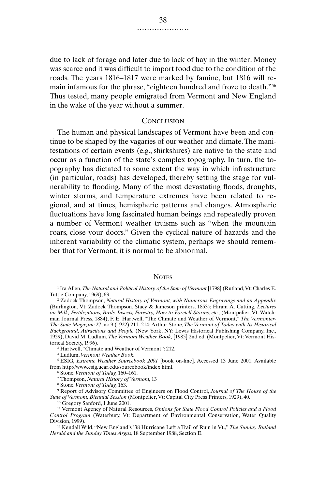due to lack of forage and later due to lack of hay in the winter. Money was scarce and it was difficult to import food due to the condition of the roads. The years 1816–1817 were marked by famine, but 1816 will remain infamous for the phrase, "eighteen hundred and froze to death."56 Thus tested, many people emigrated from Vermont and New England in the wake of the year without a summer.

#### **CONCLUSION**

The human and physical landscapes of Vermont have been and continue to be shaped by the vagaries of our weather and climate. The manifestations of certain events (e.g., shirkshires) are native to the state and occur as a function of the state's complex topography. In turn, the topography has dictated to some extent the way in which infrastructure (in particular, roads) has developed, thereby setting the stage for vulnerability to flooding. Many of the most devastating floods, droughts, winter storms, and temperature extremes have been related to regional, and at times, hemispheric patterns and changes. Atmospheric fluctuations have long fascinated human beings and repeatedly proven a number of Vermont weather truisms such as "when the mountain roars, close your doors." Given the cyclical nature of hazards and the inherent variability of the climatic system, perhaps we should remember that for Vermont, it is normal to be abnormal.

#### **NOTES**

<sup>1</sup> Ira Allen, *The Natural and Political History of the State of Vermont* [1798] (Rutland, Vt: Charles E. Tuttle Company, 1969), 63.

<sup>2</sup> Zadock Thompson, *Natural History of Vermont, with Numerous Engravings and an Appendix* (Burlington, Vt: Zadock Thompson, Stacy & Jameson printers, 1853); Hiram A. Cutting, *Lectures on Milk, Fertilizations, Birds, Insects, Forestry, How to Foretell Storms, etc.,* (Montpelier, Vt: Watchman Journal Press, 1884); F. E. Hartwell, "The Climate and Weather of Vermont," *The Vermonter-The State Magazine* 27, no.9 (1922):211–214; Arthur Stone, *The Vermont of Today with Its Historical Background, Attractions and People* (New York, NY: Lewis Historical Publishing Company, Inc., 1929); David M. Ludlum, *The Vermont Weather Book,* [1985] 2nd ed. (Montpelier, Vt: Vermont Historical Society, 1996).

<sup>3</sup> Hartwell, "Climate and Weather of Vermont": 212.

<sup>4</sup> Ludlum, *Vermont Weather Book.*

<sup>5</sup> ESIG, *Extreme Weather Sourcebook 2001* [book on-line]. Accessed 13 June 2001. Available from http://www.esig.ucar.edu/sourcebook/index.html.

<sup>6</sup> Stone, *Vermont of Today,* 160–161.

<sup>7</sup> Thompson, *Natural History of Vermont,* 13

<sup>8</sup> Stone, *Vermont of Today,* 163.

<sup>9</sup> Report of Advisory Committee of Engineers on Flood Control, *Journal of The House of the State of Vermont, Biennial Session* (Montpelier, Vt: Capital City Press Printers, 1929), 40.

<sup>10</sup> Gregory Sanford, 1 June 2001.

<sup>11</sup> Vermont Agency of Natural Resources, *Options for State Flood Control Policies and a Flood Control Program* (Waterbury, Vt: Department of Environmental Conservation, Water Quality Division, 1999).

<sup>12</sup> Kendall Wild, "New England's '38 Hurricane Left a Trail of Ruin in Vt.," *The Sunday Rutland Herald and the Sunday Times Argus,* 18 September 1988, Section E.